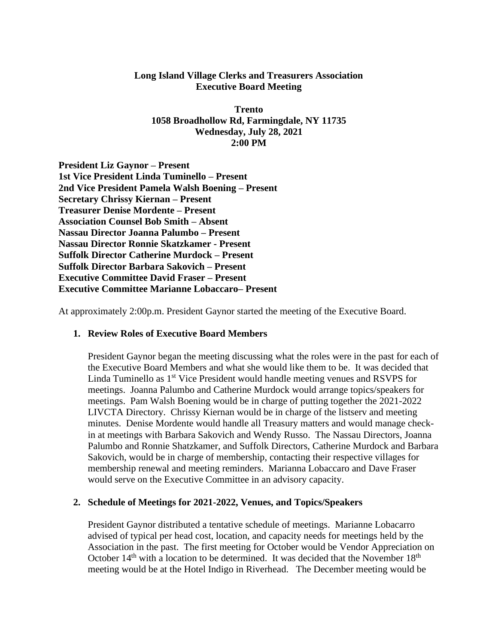## **Long Island Village Clerks and Treasurers Association Executive Board Meeting**

**Trento 1058 Broadhollow Rd, Farmingdale, NY 11735 Wednesday, July 28, 2021 2:00 PM**

**President Liz Gaynor – Present 1st Vice President Linda Tuminello – Present 2nd Vice President Pamela Walsh Boening – Present Secretary Chrissy Kiernan – Present Treasurer Denise Mordente – Present Association Counsel Bob Smith – Absent Nassau Director Joanna Palumbo – Present Nassau Director Ronnie Skatzkamer - Present Suffolk Director Catherine Murdock – Present Suffolk Director Barbara Sakovich – Present Executive Committee David Fraser – Present Executive Committee Marianne Lobaccaro– Present**

At approximately 2:00p.m. President Gaynor started the meeting of the Executive Board.

## **1. Review Roles of Executive Board Members**

President Gaynor began the meeting discussing what the roles were in the past for each of the Executive Board Members and what she would like them to be. It was decided that Linda Tuminello as 1<sup>st</sup> Vice President would handle meeting venues and RSVPS for meetings. Joanna Palumbo and Catherine Murdock would arrange topics/speakers for meetings. Pam Walsh Boening would be in charge of putting together the 2021-2022 LIVCTA Directory. Chrissy Kiernan would be in charge of the listserv and meeting minutes. Denise Mordente would handle all Treasury matters and would manage checkin at meetings with Barbara Sakovich and Wendy Russo. The Nassau Directors, Joanna Palumbo and Ronnie Shatzkamer, and Suffolk Directors, Catherine Murdock and Barbara Sakovich, would be in charge of membership, contacting their respective villages for membership renewal and meeting reminders. Marianna Lobaccaro and Dave Fraser would serve on the Executive Committee in an advisory capacity.

## **2. Schedule of Meetings for 2021-2022, Venues, and Topics/Speakers**

President Gaynor distributed a tentative schedule of meetings. Marianne Lobacarro advised of typical per head cost, location, and capacity needs for meetings held by the Association in the past. The first meeting for October would be Vendor Appreciation on October  $14<sup>th</sup>$  with a location to be determined. It was decided that the November  $18<sup>th</sup>$ meeting would be at the Hotel Indigo in Riverhead. The December meeting would be